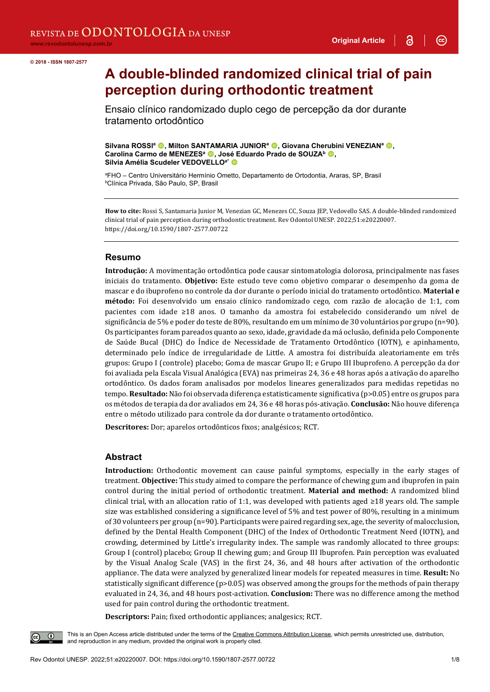$\odot$ 

# **A double-blinded randomized clinical trial of pain perception during orthodontic treatment**

Ensaio clínico randomizado duplo cego de percepção da dor durante tratamento ortodôntico

**Silvana ROSSI<sup>a</sup> ©, Milton SANTAMARIA JUNIOR<sup>a</sup> ©, Giovana Cherubini VENEZIAN<sup>a</sup> ©,** Carolina Carmo de MENEZES<sup>a</sup> **.**, José Eduardo Prado de SOUZA<sup>b</sup> **.**, **Silvia Amélia Scudeler VEDOVELLOa\***

ªFHO – Centro Universitário Hermínio Ometto, Departamento de Ortodontia, Araras, SP, Brasil<br><sup>b</sup>Clínica Privada, São Paulo, SP, Brasil Clínica Privada, São Paulo, SP, Brasil

**How to cite:** Rossi S, Santamaria Junior M, Venezian GC, Menezes CC, Souza JEP, Vedovello SAS. A double-blinded randomized clinical trial of pain perception during orthodontic treatment. Rev Odontol UNESP. 2022;51:e20220007. https://doi.org/10.1590/1807-2577.00722

#### **Resumo**

**Introdução:** A movimentação ortodôntica pode causar sintomatologia dolorosa, principalmente nas fases iniciais do tratamento. **Objetivo:** Este estudo teve como objetivo comparar o desempenho da goma de mascar e do ibuprofeno no controle da dor durante o período inicial do tratamento ortodôntico. **Material e método:** Foi desenvolvido um ensaio clínico randomizado cego, com razão de alocação de 1:1, com pacientes com idade ≥18 anos. O tamanho da amostra foi estabelecido considerando um nível de significância de 5% e poder do teste de 80%, resultando em um mínimo de 30 voluntários por grupo (n=90). Os participantes foram pareados quanto ao sexo, idade, gravidade da má oclusão, definida pelo Componente de Saúde Bucal (DHC) do Índice de Necessidade de Tratamento Ortodôntico (IOTN), e apinhamento, determinado pelo índice de irregularidade de Little. A amostra foi distribuída aleatoriamente em três grupos: Grupo I (controle) placebo; Goma de mascar Grupo II; e Grupo III Ibuprofeno. A percepção da dor foi avaliada pela Escala Visual Analógica (EVA) nas primeiras 24, 36 e 48 horas após a ativação do aparelho ortodôntico. Os dados foram analisados por modelos lineares generalizados para medidas repetidas no tempo. **Resultado:** Não foi observada diferença estatisticamente significativa (p>0.05) entre os grupos para os métodos de terapia da dor avaliados em 24, 36 e 48 horas pós-ativação. **Conclusão:** Não houve diferença entre o método utilizado para controle da dor durante o tratamento ortodôntico.

**Descritores:** Dor; aparelos ortodônticos fixos; analgésicos; RCT.

#### **Abstract**

**Introduction:** Orthodontic movement can cause painful symptoms, especially in the early stages of treatment. **Objective:** This study aimed to compare the performance of chewing gum and ibuprofen in pain control during the initial period of orthodontic treatment. **Material and method:** A randomized blind clinical trial, with an allocation ratio of 1:1, was developed with patients aged ≥18 years old. The sample size was established considering a significance level of 5% and test power of 80%, resulting in a minimum of 30 volunteers per group (n=90). Participants were paired regarding sex, age, the severity of malocclusion, defined by the Dental Health Component (DHC) of the Index of Orthodontic Treatment Need (IOTN), and crowding, determined by Little's irregularity index. The sample was randomly allocated to three groups: Group I (control) placebo; Group II chewing gum; and Group III Ibuprofen. Pain perception was evaluated by the Visual Analog Scale (VAS) in the first 24, 36, and 48 hours after activation of the orthodontic appliance. The data were analyzed by generalized linear models for repeated measures in time. **Result:** No statistically significant difference (p>0.05) was observed among the groups for the methods of pain therapy evaluated in 24, 36, and 48 hours post-activation. **Conclusion:** There was no difference among the method used for pain control during the orthodontic treatment.

**Descriptors:** Pain; fixed orthodontic appliances; analgesics; RCT.

This is an Open Access article distributed under the terms of the Creative Commons Attribution License, which permits unrestricted use, distribution, and reproduction in any medium, provided the original work is properly cited.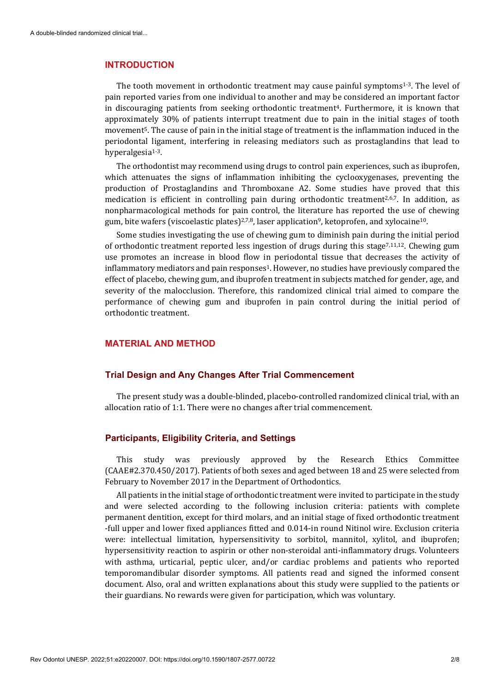#### **INTRODUCTION**

The tooth movement in orthodontic treatment may cause painful symptoms<sup>1-3</sup>. The level of pain reported varies from one individual to another and may be considered an important factor in discouraging patients from seeking orthodontic treatment<sup>4</sup>. Furthermore, it is known that approximately 30% of patients interrupt treatment due to pain in the initial stages of tooth movement5. The cause of pain in the initial stage of treatment is the inflammation induced in the periodontal ligament, interfering in releasing mediators such as prostaglandins that lead to hyperalgesia<sup>1-3</sup>.

The orthodontist may recommend using drugs to control pain experiences, such as ibuprofen, which attenuates the signs of inflammation inhibiting the cyclooxygenases, preventing the production of Prostaglandins and Thromboxane A2. Some studies have proved that this medication is efficient in controlling pain during orthodontic treatment2,6,7. In addition, as nonpharmacological methods for pain control, the literature has reported the use of chewing gum, bite wafers (viscoelastic plates)<sup>2,7,8</sup>, laser application<sup>9</sup>, ketoprofen, and xylocaine<sup>10</sup>.

Some studies investigating the use of chewing gum to diminish pain during the initial period of orthodontic treatment reported less ingestion of drugs during this stage7,11,12. Chewing gum use promotes an increase in blood flow in periodontal tissue that decreases the activity of inflammatory mediators and pain responses<sup>1</sup>. However, no studies have previously compared the effect of placebo, chewing gum, and ibuprofen treatment in subjects matched for gender, age, and severity of the malocclusion. Therefore, this randomized clinical trial aimed to compare the performance of chewing gum and ibuprofen in pain control during the initial period of orthodontic treatment.

# **MATERIAL AND METHOD**

#### **Trial Design and Any Changes After Trial Commencement**

The present study was a double-blinded, placebo-controlled randomized clinical trial, with an allocation ratio of 1:1. There were no changes after trial commencement.

#### **Participants, Eligibility Criteria, and Settings**

This study was previously approved by the Research Ethics Committee (CAAE#2.370.450/2017). Patients of both sexes and aged between 18 and 25 were selected from February to November 2017 in the Department of Orthodontics.

All patients in the initial stage of orthodontic treatment were invited to participate in the study and were selected according to the following inclusion criteria: patients with complete permanent dentition, except for third molars, and an initial stage of fixed orthodontic treatment -full upper and lower fixed appliances fitted and 0.014-in round Nitinol wire. Exclusion criteria were: intellectual limitation, hypersensitivity to sorbitol, mannitol, xylitol, and ibuprofen; hypersensitivity reaction to aspirin or other non-steroidal anti-inflammatory drugs. Volunteers with asthma, urticarial, peptic ulcer, and/or cardiac problems and patients who reported temporomandibular disorder symptoms. All patients read and signed the informed consent document. Also, oral and written explanations about this study were supplied to the patients or their guardians. No rewards were given for participation, which was voluntary.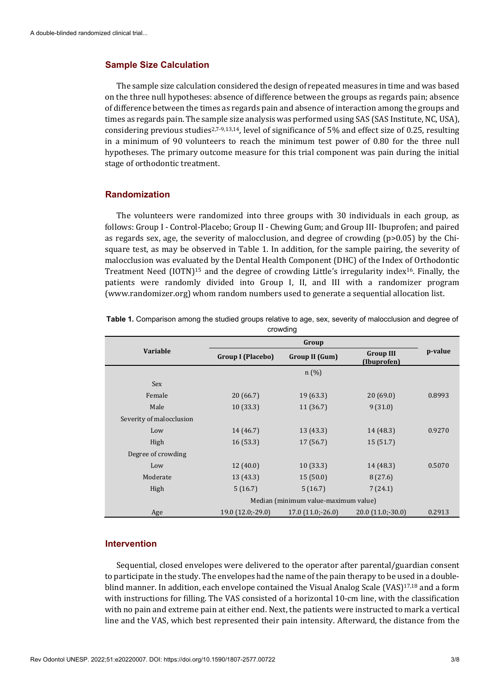#### **Sample Size Calculation**

The sample size calculation considered the design of repeated measures in time and was based on the three null hypotheses: absence of difference between the groups as regards pain; absence of difference between the times as regards pain and absence of interaction among the groups and times as regards pain. The sample size analysis was performed using SAS (SAS Institute, NC, USA), considering previous studies<sup>2,7-9,13,14</sup>, level of significance of 5% and effect size of 0.25, resulting in a minimum of 90 volunteers to reach the minimum test power of 0.80 for the three null hypotheses. The primary outcome measure for this trial component was pain during the initial stage of orthodontic treatment.

# **Randomization**

The volunteers were randomized into three groups with 30 individuals in each group, as follows: Group I - Control-Placebo; Group II - Chewing Gum; and Group III- Ibuprofen; and paired as regards sex, age, the severity of malocclusion, and degree of crowding  $(p>0.05)$  by the Chisquare test, as may be observed in Table 1. In addition, for the sample pairing, the severity of malocclusion was evaluated by the Dental Health Component (DHC) of the Index of Orthodontic Treatment Need (IOTN)15 and the degree of crowding Little's irregularity index16. Finally, the patients were randomly divided into Group I, II, and III with a randomizer program (www.randomizer.org) whom random numbers used to generate a sequential allocation list.

| <u> णण्डाम्</u>          |                                      |                       |                                 |         |  |  |
|--------------------------|--------------------------------------|-----------------------|---------------------------------|---------|--|--|
|                          | Group                                |                       |                                 |         |  |  |
| <b>Variable</b>          | <b>Group I (Placebo)</b>             | <b>Group II (Gum)</b> | <b>Group III</b><br>(Ibuprofen) | p-value |  |  |
|                          |                                      | n(%)                  |                                 |         |  |  |
| Sex                      |                                      |                       |                                 |         |  |  |
| Female                   | 20 (66.7)                            | 19(63.3)              | 20(69.0)                        | 0.8993  |  |  |
| Male                     | 10(33.3)                             | 11(36.7)              | 9(31.0)                         |         |  |  |
| Severity of malocclusion |                                      |                       |                                 |         |  |  |
| Low                      | 14 (46.7)                            | 13(43.3)              | 14 (48.3)                       | 0.9270  |  |  |
| High                     | 16(53.3)                             | 17(56.7)              | 15(51.7)                        |         |  |  |
| Degree of crowding       |                                      |                       |                                 |         |  |  |
| Low                      | 12(40.0)                             | 10(33.3)              | 14 (48.3)                       | 0.5070  |  |  |
| Moderate                 | 13 (43.3)                            | 15(50.0)              | 8(27.6)                         |         |  |  |
| High                     | 5(16.7)                              | 5(16.7)               | 7(24.1)                         |         |  |  |
|                          | Median (minimum value-maximum value) |                       |                                 |         |  |  |
| Age                      | 19.0 (12.0;-29.0)                    | $17.0(11.0,-26.0)$    | $20.0(11.0,-30.0)$              | 0.2913  |  |  |

**Table 1.** Comparison among the studied groups relative to age, sex, severity of malocclusion and degree of crowding

#### **Intervention**

Sequential, closed envelopes were delivered to the operator after parental/guardian consent to participate in the study. The envelopes had the name of the pain therapy to be used in a doubleblind manner. In addition, each envelope contained the Visual Analog Scale (VAS)<sup>17,18</sup> and a form with instructions for filling. The VAS consisted of a horizontal 10-cm line, with the classification with no pain and extreme pain at either end. Next, the patients were instructed to mark a vertical line and the VAS, which best represented their pain intensity. Afterward, the distance from the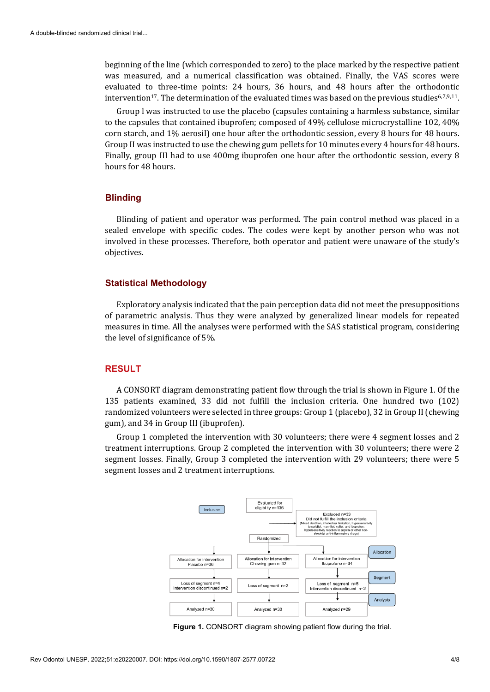beginning of the line (which corresponded to zero) to the place marked by the respective patient was measured, and a numerical classification was obtained. Finally, the VAS scores were evaluated to three-time points: 24 hours, 36 hours, and 48 hours after the orthodontic intervention<sup>17</sup>. The determination of the evaluated times was based on the previous studies<sup>6,7,9,11</sup>.

Group l was instructed to use the placebo (capsules containing a harmless substance, similar to the capsules that contained ibuprofen; composed of 49% cellulose microcrystalline 102, 40% corn starch, and 1% aerosil) one hour after the orthodontic session, every 8 hours for 48 hours. Group II was instructed to use the chewing gum pellets for 10 minutes every 4 hours for 48 hours. Finally, group III had to use 400mg ibuprofen one hour after the orthodontic session, every 8 hours for 48 hours.

# **Blinding**

Blinding of patient and operator was performed. The pain control method was placed in a sealed envelope with specific codes. The codes were kept by another person who was not involved in these processes. Therefore, both operator and patient were unaware of the study's objectives.

# **Statistical Methodology**

Exploratory analysis indicated that the pain perception data did not meet the presuppositions of parametric analysis. Thus they were analyzed by generalized linear models for repeated measures in time. All the analyses were performed with the SAS statistical program, considering the level of significance of 5%.

#### **RESULT**

A CONSORT diagram demonstrating patient flow through the trial is shown in Figure 1. Of the 135 patients examined, 33 did not fulfill the inclusion criteria. One hundred two (102) randomized volunteers were selected in three groups: Group 1 (placebo), 32 in Group II (chewing gum), and 34 in Group III (ibuprofen).

Group 1 completed the intervention with 30 volunteers; there were 4 segment losses and 2 treatment interruptions. Group 2 completed the intervention with 30 volunteers; there were 2 segment losses. Finally, Group 3 completed the intervention with 29 volunteers; there were 5 segment losses and 2 treatment interruptions.



**Figure 1.** CONSORT diagram showing patient flow during the trial.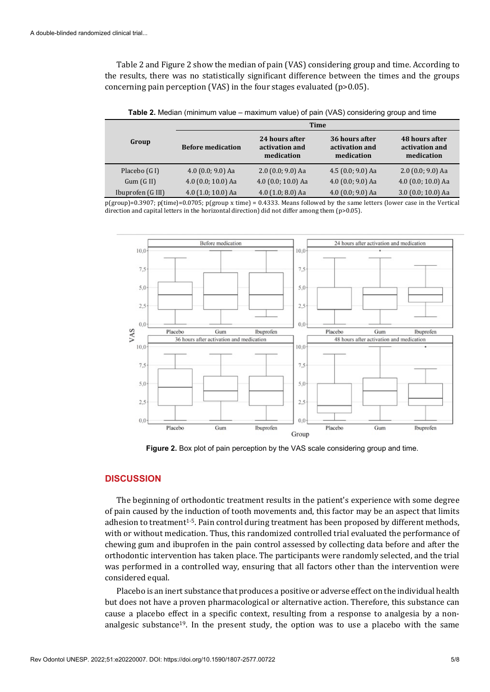Table 2 and Figure 2 show the median of pain (VAS) considering group and time. According to the results, there was no statistically significant difference between the times and the groups concerning pain perception (VAS) in the four stages evaluated (p>0.05).

|                   | Time                     |                                                |                                                |                                                |  |
|-------------------|--------------------------|------------------------------------------------|------------------------------------------------|------------------------------------------------|--|
| Group             | <b>Before medication</b> | 24 hours after<br>activation and<br>medication | 36 hours after<br>activation and<br>medication | 48 hours after<br>activation and<br>medication |  |
| Placebo (G I)     | 4.0 $(0.0; 9.0)$ Aa      | $2.0$ (0.0; 9.0) Aa                            | 4.5 $(0.0; 9.0)$ Aa                            | $2.0$ (0.0; 9.0) Aa                            |  |
| Gum(GII)          | 4.0 (0.0; 10.0) Aa       | 4.0 (0.0; 10.0) Aa                             | 4.0 $(0.0; 9.0)$ Aa                            | 4.0 $(0.0; 10.0)$ Aa                           |  |
| Ibuprofen (G III) | 4.0 $(1.0; 10.0)$ Aa     | 4.0 $(1.0; 8.0)$ Aa                            | 4.0 $(0.0; 9.0)$ Aa                            | $3.0$ (0.0; 10.0) Aa                           |  |

**Table 2.** Median (minimum value – maximum value) of pain (VAS) considering group and time

p(group)=0.3907; p(time)=0.0705; p(group x time) = 0.4333. Means followed by the same letters (lower case in the Vertical direction and capital letters in the horizontal direction) did not differ among them (p>0.05).



**Figure 2.** Box plot of pain perception by the VAS scale considering group and time.

# **DISCUSSION**

The beginning of orthodontic treatment results in the patient's experience with some degree of pain caused by the induction of tooth movements and, this factor may be an aspect that limits adhesion to treatment1-5. Pain control during treatment has been proposed by different methods, with or without medication. Thus, this randomized controlled trial evaluated the performance of chewing gum and ibuprofen in the pain control assessed by collecting data before and after the orthodontic intervention has taken place. The participants were randomly selected, and the trial was performed in a controlled way, ensuring that all factors other than the intervention were considered equal.

Placebo is an inert substance that produces a positive or adverse effect on the individual health but does not have a proven pharmacological or alternative action. Therefore, this substance can cause a placebo effect in a specific context, resulting from a response to analgesia by a nonanalgesic substance<sup>19</sup>. In the present study, the option was to use a placebo with the same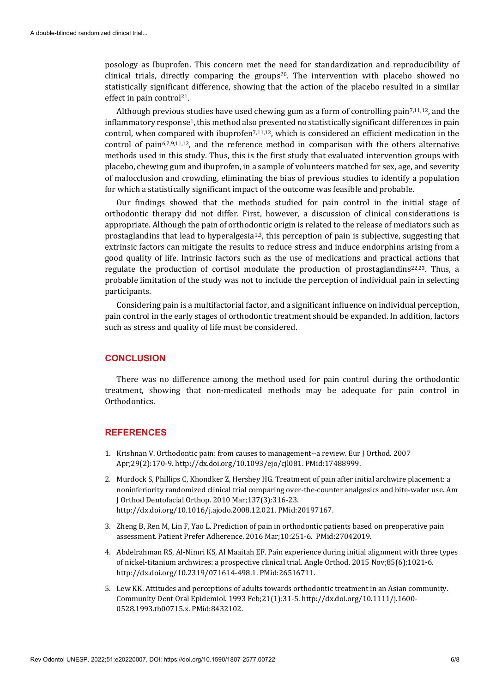posology as Ibuprofen. This concern met the need for standardization and reproducibility of clinical trials, directly comparing the groups<sup>20</sup>. The intervention with placebo showed no statistically significant difference, showing that the action of the placebo resulted in a similar effect in pain control<sup>21</sup>.

Although previous studies have used chewing gum as a form of controlling pain<sup>7,11,12</sup>, and the inflammatory response<sup>1</sup>, this method also presented no statistically significant differences in pain control, when compared with ibuprofen<sup>7,11,12</sup>, which is considered an efficient medication in the control of pain6,7,9,11,12, and the reference method in comparison with the others alternative methods used in this study. Thus, this is the first study that evaluated intervention groups with placebo, chewing gum and ibuprofen, in a sample of volunteers matched for sex, age, and severity of malocclusion and crowding, eliminating the bias of previous studies to identify a population for which a statistically significant impact of the outcome was feasible and probable.

Our findings showed that the methods studied for pain control in the initial stage of orthodontic therapy did not differ. First, however, a discussion of clinical considerations is appropriate. Although the pain of orthodontic origin is related to the release of mediators such as prostaglandins that lead to hyperalgesia<sup>1,3</sup>, this perception of pain is subjective, suggesting that extrinsic factors can mitigate the results to reduce stress and induce endorphins arising from a good quality of life. Intrinsic factors such as the use of medications and practical actions that regulate the production of cortisol modulate the production of prostaglandins<sup>22,23</sup>. Thus, a probable limitation of the study was not to include the perception of individual pain in selecting participants.

Considering pain is a multifactorial factor, and a significant influence on individual perception, pain control in the early stages of orthodontic treatment should be expanded. In addition, factors such as stress and quality of life must be considered.

# **CONCLUSION**

There was no difference among the method used for pain control during the orthodontic treatment, showing that non-medicated methods may be adequate for pain control in Orthodontics.

# **REFERENCES**

- 1. Krishnan V. Orthodontic pain: from causes to management--a review. Eur J Orthod. 2007 Apr;29(2):170-9[. http://dx.doi.org/10.1093/ejo/cjl081.](https://doi.org/10.1093/ejo/cjl081) [PMid:17488999.](https://www.ncbi.nlm.nih.gov/entrez/query.fcgi?cmd=Retrieve&db=PubMed&list_uids=17488999&dopt=Abstract)
- 2. Murdock S, Phillips C, Khondker Z, Hershey HG. Treatment of pain after initial archwire placement: a noninferiority randomized clinical trial comparing over-the-counter analgesics and bite-wafer use. Am J Orthod Dentofacial Orthop. 2010 Mar;137(3):316-23. [http://dx.doi.org/10.1016/j.ajodo.2008.12.021.](https://doi.org/10.1016/j.ajodo.2008.12.021) [PMid:20197167.](https://www.ncbi.nlm.nih.gov/entrez/query.fcgi?cmd=Retrieve&db=PubMed&list_uids=20197167&dopt=Abstract)
- 3. Zheng B, Ren M, Lin F, Yao L. Prediction of pain in orthodontic patients based on preoperative pain assessment. Patient Prefer Adherence. 2016 Mar;10:251-6[. PMid:27042019.](https://www.ncbi.nlm.nih.gov/entrez/query.fcgi?cmd=Retrieve&db=PubMed&list_uids=27042019&dopt=Abstract)
- 4. Abdelrahman RS, Al-Nimri KS, Al Maaitah EF. Pain experience during initial alignment with three types of nickel-titanium archwires: a prospective clinical trial. Angle Orthod. 2015 Nov;85(6):1021-6. [http://dx.doi.org/10.2319/071614-498.1.](https://doi.org/10.2319/071614-498.1) [PMid:26516711.](https://www.ncbi.nlm.nih.gov/entrez/query.fcgi?cmd=Retrieve&db=PubMed&list_uids=26516711&dopt=Abstract)
- 5. Lew KK. Attitudes and perceptions of adults towards orthodontic treatment in an Asian community. Community Dent Oral Epidemiol. 1993 Feb;21(1):31-5. [http://dx.doi.org/10.1111/j.1600-](https://doi.org/10.1111/j.1600-0528.1993.tb00715.x) [0528.1993.tb00715.x.](https://doi.org/10.1111/j.1600-0528.1993.tb00715.x) [PMid:8432102.](https://www.ncbi.nlm.nih.gov/entrez/query.fcgi?cmd=Retrieve&db=PubMed&list_uids=8432102&dopt=Abstract)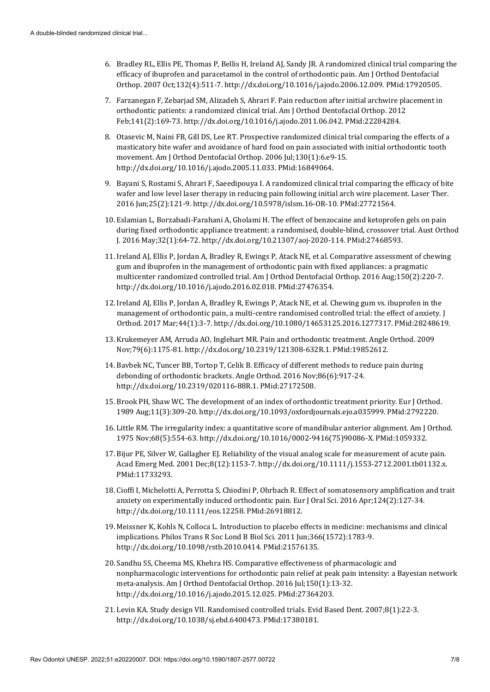- 6. Bradley RL, Ellis PE, Thomas P, Bellis H, Ireland AJ, Sandy JR. A randomized clinical trial comparing the efficacy of ibuprofen and paracetamol in the control of orthodontic pain. Am J Orthod Dentofacial Orthop. 2007 Oct;132(4):511-7[. http://dx.doi.org/10.1016/j.ajodo.2006.12.009.](https://doi.org/10.1016/j.ajodo.2006.12.009) [PMid:17920505.](https://www.ncbi.nlm.nih.gov/entrez/query.fcgi?cmd=Retrieve&db=PubMed&list_uids=17920505&dopt=Abstract)
- 7. Farzanegan F, Zebarjad SM, Alizadeh S, Ahrari F. Pain reduction after initial archwire placement in orthodontic patients: a randomized clinical trial. Am J Orthod Dentofacial Orthop. 2012 Feb;141(2):169-73[. http://dx.doi.org/10.1016/j.ajodo.2011.06.042.](https://doi.org/10.1016/j.ajodo.2011.06.042) [PMid:22284284.](https://www.ncbi.nlm.nih.gov/entrez/query.fcgi?cmd=Retrieve&db=PubMed&list_uids=22284284&dopt=Abstract)
- 8. Otasevic M, Naini FB, Gill DS, Lee RT. Prospective randomized clinical trial comparing the effects of a masticatory bite wafer and avoidance of hard food on pain associated with initial orthodontic tooth movement. Am J Orthod Dentofacial Orthop. 2006 Jul;130(1):6.e9-15. [http://dx.doi.org/10.1016/j.ajodo.2005.11.033.](https://doi.org/10.1016/j.ajodo.2005.11.033) [PMid:16849064.](https://www.ncbi.nlm.nih.gov/entrez/query.fcgi?cmd=Retrieve&db=PubMed&list_uids=16849064&dopt=Abstract)
- 9. Bayani S, Rostami S, Ahrari F, Saeedipouya I. A randomized clinical trial comparing the efficacy of bite wafer and low level laser therapy in reducing pain following initial arch wire placement. Laser Ther. 2016 Jun;25(2):121-9[. http://dx.doi.org/10.5978/islsm.16-OR-10.](https://doi.org/10.5978/islsm.16-OR-10) [PMid:27721564.](https://www.ncbi.nlm.nih.gov/entrez/query.fcgi?cmd=Retrieve&db=PubMed&list_uids=27721564&dopt=Abstract)
- 10. Eslamian L, Borzabadi-Farahani A, Gholami H. The effect of benzocaine and ketoprofen gels on pain during fixed orthodontic appliance treatment: a randomised, double-blind, crossover trial. Aust Orthod J. 2016 May;32(1):64-72[. http://dx.doi.org/10.21307/aoj-2020-114.](https://doi.org/10.21307/aoj-2020-114) [PMid:27468593.](https://www.ncbi.nlm.nih.gov/entrez/query.fcgi?cmd=Retrieve&db=PubMed&list_uids=27468593&dopt=Abstract)
- 11. Ireland AJ, Ellis P, Jordan A, Bradley R, Ewings P, Atack NE, et al. Comparative assessment of chewing gum and ibuprofen in the management of orthodontic pain with fixed appliances: a pragmatic multicenter randomized controlled trial. Am J Orthod Dentofacial Orthop. 2016 Aug;150(2):220-7. [http://dx.doi.org/10.1016/j.ajodo.2016.02.018.](https://doi.org/10.1016/j.ajodo.2016.02.018) [PMid:27476354.](https://www.ncbi.nlm.nih.gov/entrez/query.fcgi?cmd=Retrieve&db=PubMed&list_uids=27476354&dopt=Abstract)
- 12. Ireland AJ, Ellis P, Jordan A, Bradley R, Ewings P, Atack NE, et al. Chewing gum vs. ibuprofen in the management of orthodontic pain, a multi-centre randomised controlled trial: the effect of anxiety. J Orthod. 2017 Mar;44(1):3-7[. http://dx.doi.org/10.1080/14653125.2016.1277317.](https://doi.org/10.1080/14653125.2016.1277317) [PMid:28248619.](https://www.ncbi.nlm.nih.gov/entrez/query.fcgi?cmd=Retrieve&db=PubMed&list_uids=28248619&dopt=Abstract)
- 13. Krukemeyer AM, Arruda AO, Inglehart MR. Pain and orthodontic treatment. Angle Orthod. 2009 Nov;79(6):1175-81. [http://dx.doi.org/10.2319/121308-632R.1.](https://doi.org/10.2319/121308-632R.1) [PMid:19852612.](https://www.ncbi.nlm.nih.gov/entrez/query.fcgi?cmd=Retrieve&db=PubMed&list_uids=19852612&dopt=Abstract)
- 14. Bavbek NC, Tuncer BB, Tortop T, Celik B. Efficacy of different methods to reduce pain during debonding of orthodontic brackets. Angle Orthod. 2016 Nov;86(6):917-24. [http://dx.doi.org/10.2319/020116-88R.1.](https://doi.org/10.2319/020116-88R.1) [PMid:27172508.](https://www.ncbi.nlm.nih.gov/entrez/query.fcgi?cmd=Retrieve&db=PubMed&list_uids=27172508&dopt=Abstract)
- 15. Brook PH, Shaw WC. The development of an index of orthodontic treatment priority. Eur J Orthod. 1989 Aug;11(3):309-20[. http://dx.doi.org/10.1093/oxfordjournals.ejo.a035999.](https://doi.org/10.1093/oxfordjournals.ejo.a035999) [PMid:2792220.](https://www.ncbi.nlm.nih.gov/entrez/query.fcgi?cmd=Retrieve&db=PubMed&list_uids=2792220&dopt=Abstract)
- 16. Little RM. The irregularity index: a quantitative score of mandibular anterior alignment. Am J Orthod. 1975 Nov;68(5):554-63[. http://dx.doi.org/10.1016/0002-9416\(75\)90086-X.](https://doi.org/10.1016/0002-9416(75)90086-X) [PMid:1059332.](https://www.ncbi.nlm.nih.gov/entrez/query.fcgi?cmd=Retrieve&db=PubMed&list_uids=1059332&dopt=Abstract)
- 17. Bijur PE, Silver W, Gallagher EJ. Reliability of the visual analog scale for measurement of acute pain. Acad Emerg Med. 2001 Dec;8(12):1153-7[. http://dx.doi.org/10.1111/j.1553-2712.2001.tb01132.x](https://doi.org/10.1111/j.1553-2712.2001.tb01132.x)[.](https://www.ncbi.nlm.nih.gov/entrez/query.fcgi?cmd=Retrieve&db=PubMed&list_uids=11733293&dopt=Abstract) [PMid:11733293.](https://www.ncbi.nlm.nih.gov/entrez/query.fcgi?cmd=Retrieve&db=PubMed&list_uids=11733293&dopt=Abstract)
- 18. Cioffi I, Michelotti A, Perrotta S, Chiodini P, Ohrbach R. Effect of somatosensory amplification and trait anxiety on experimentally induced orthodontic pain. Eur J Oral Sci. 2016 Apr;124(2):127-34. [http://dx.doi.org/10.1111/eos.12258.](https://doi.org/10.1111/eos.12258) [PMid:26918812.](https://www.ncbi.nlm.nih.gov/entrez/query.fcgi?cmd=Retrieve&db=PubMed&list_uids=26918812&dopt=Abstract)
- 19. Meissner K, Kohls N, Colloca L. Introduction to placebo effects in medicine: mechanisms and clinical implications. Philos Trans R Soc Lond B Biol Sci. 2011 Jun;366(1572):1783-9. [http://dx.doi.org/10.1098/rstb.2010.0414.](https://doi.org/10.1098/rstb.2010.0414) [PMid:21576135.](https://www.ncbi.nlm.nih.gov/entrez/query.fcgi?cmd=Retrieve&db=PubMed&list_uids=21576135&dopt=Abstract)
- 20. Sandhu SS, Cheema MS, Khehra HS. Comparative effectiveness of pharmacologic and nonpharmacologic interventions for orthodontic pain relief at peak pain intensity: a Bayesian network meta-analysis. Am J Orthod Dentofacial Orthop. 2016 Jul;150(1):13-32. [http://dx.doi.org/10.1016/j.ajodo.2015.12.025.](https://doi.org/10.1016/j.ajodo.2015.12.025) [PMid:27364203.](https://www.ncbi.nlm.nih.gov/entrez/query.fcgi?cmd=Retrieve&db=PubMed&list_uids=27364203&dopt=Abstract)
- 21. Levin KA. Study design VII. Randomised controlled trials. Evid Based Dent. 2007;8(1):22-3. [http://dx.doi.org/10.1038/sj.ebd.6400473.](https://doi.org/10.1038/sj.ebd.6400473) [PMid:17380181.](https://www.ncbi.nlm.nih.gov/entrez/query.fcgi?cmd=Retrieve&db=PubMed&list_uids=17380181&dopt=Abstract)